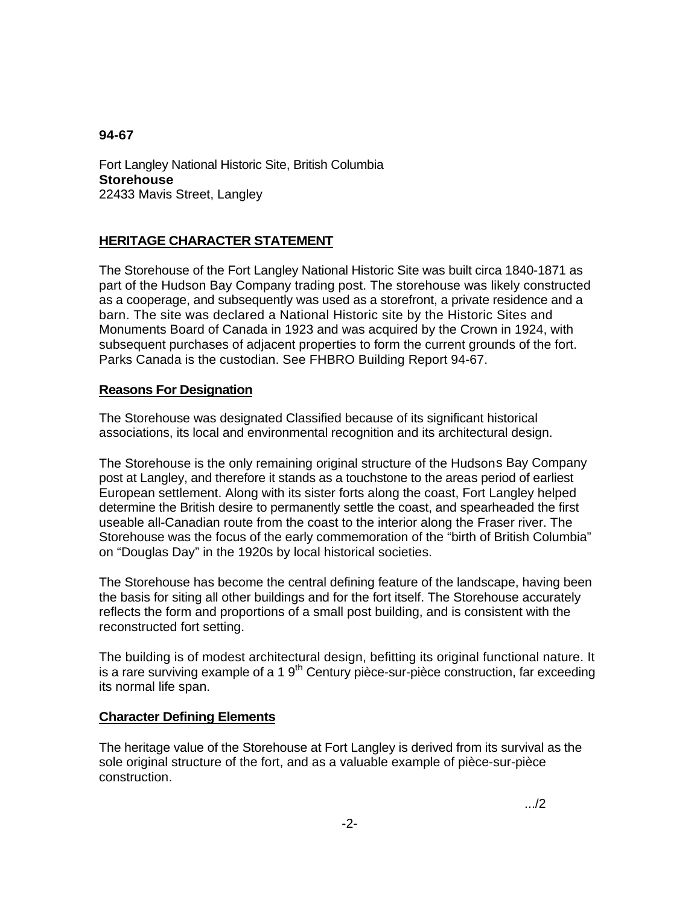## **94-67**

Fort Langley National Historic Site, British Columbia **Storehouse**  22433 Mavis Street, Langley

## **HERITAGE CHARACTER STATEMENT**

The Storehouse of the Fort Langley National Historic Site was built circa 1840-1871 as part of the Hudson Bay Company trading post. The storehouse was likely constructed as a cooperage, and subsequently was used as a storefront, a private residence and a barn. The site was declared a National Historic site by the Historic Sites and Monuments Board of Canada in 1923 and was acquired by the Crown in 1924, with subsequent purchases of adjacent properties to form the current grounds of the fort. Parks Canada is the custodian. See FHBRO Building Report 94-67.

## **Reasons For Designation**

The Storehouse was designated Classified because of its significant historical associations, its local and environmental recognition and its architectural design.

The Storehouse is the only remaining original structure of the Hudsons Bay Company post at Langley, and therefore it stands as a touchstone to the areas period of earliest European settlement. Along with its sister forts along the coast, Fort Langley helped determine the British desire to permanently settle the coast, and spearheaded the first useable all-Canadian route from the coast to the interior along the Fraser river. The Storehouse was the focus of the early commemoration of the "birth of British Columbia" on "Douglas Day" in the 1920s by local historical societies.

The Storehouse has become the central defining feature of the landscape, having been the basis for siting all other buildings and for the fort itself. The Storehouse accurately reflects the form and proportions of a small post building, and is consistent with the reconstructed fort setting.

The building is of modest architectural design, befitting its original functional nature. It is a rare surviving example of a 1  $9<sup>th</sup>$  Century pièce-sur-pièce construction, far exceeding its normal life span.

## **Character Defining Elements**

The heritage value of the Storehouse at Fort Langley is derived from its survival as the sole original structure of the fort, and as a valuable example of pièce-sur-pièce construction.

.../2